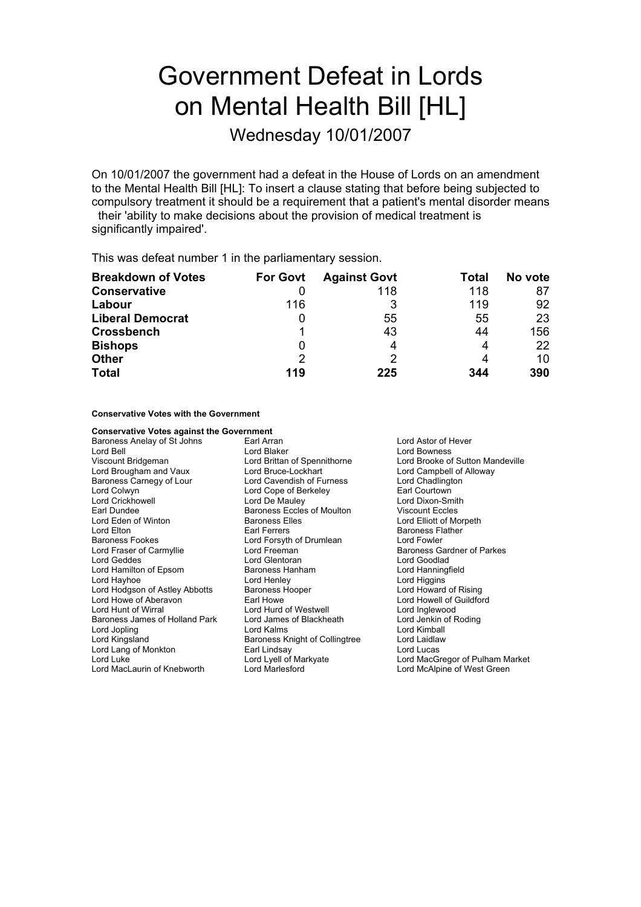# Government Defeat in Lords on Mental Health Bill [HL]

Wednesday 10/01/2007

On 10/01/2007 the government had a defeat in the House of Lords on an amendment to the Mental Health Bill [HL]: To insert a clause stating that before being subjected to compulsory treatment it should be a requirement that a patient's mental disorder means their 'ability to make decisions about the provision of medical treatment is

significantly impaired'.

This was defeat number 1 in the parliamentary session.

| <b>Breakdown of Votes</b> | <b>For Govt</b> | <b>Against Govt</b> | Total | No vote |
|---------------------------|-----------------|---------------------|-------|---------|
| <b>Conservative</b>       |                 | 118                 | 118   | 87      |
| Labour                    | 116             |                     | 119   | 92      |
| <b>Liberal Democrat</b>   |                 | 55                  | 55    | 23      |
| <b>Crossbench</b>         |                 | 43                  | 44    | 156     |
| <b>Bishops</b>            |                 | 4                   | 4     | 22      |
| <b>Other</b>              | 2               |                     | 4     | 10      |
| <b>Total</b>              | 119             | 225                 | 344   | 390     |

**Conservative Votes with the Government**

| <b>Conservative Votes against the Government</b> |                                |                                  |
|--------------------------------------------------|--------------------------------|----------------------------------|
| Baroness Anelay of St Johns                      | Earl Arran                     | Lord Astor of Hever              |
| Lord Bell                                        | Lord Blaker                    | Lord Bowness                     |
| Viscount Bridgeman                               | Lord Brittan of Spennithorne   | Lord Brooke of Sutton Mandeville |
| Lord Brougham and Vaux                           | Lord Bruce-Lockhart            | Lord Campbell of Alloway         |
| Baroness Carnegy of Lour                         | Lord Cavendish of Furness      | Lord Chadlington                 |
| Lord Colwyn                                      | Lord Cope of Berkeley          | Earl Courtown                    |
| Lord Crickhowell                                 | Lord De Mauley                 | Lord Dixon-Smith                 |
| Earl Dundee                                      | Baroness Eccles of Moulton     | <b>Viscount Eccles</b>           |
| Lord Eden of Winton                              | <b>Baroness Elles</b>          | Lord Elliott of Morpeth          |
| Lord Elton                                       | Earl Ferrers                   | <b>Baroness Flather</b>          |
| Baroness Fookes                                  | Lord Forsyth of Drumlean       | Lord Fowler                      |
| Lord Fraser of Carmyllie                         | Lord Freeman                   | Baroness Gardner of Parkes       |
| Lord Geddes                                      | Lord Glentoran                 | Lord Goodlad                     |
| Lord Hamilton of Epsom                           | Baroness Hanham                | Lord Hanningfield                |
| Lord Hayhoe                                      | Lord Henley                    | Lord Higgins                     |
| Lord Hodgson of Astley Abbotts                   | Baroness Hooper                | Lord Howard of Rising            |
| Lord Howe of Aberavon                            | Earl Howe                      | Lord Howell of Guildford         |
| Lord Hunt of Wirral                              | Lord Hurd of Westwell          | Lord Inglewood                   |
| Baroness James of Holland Park                   | Lord James of Blackheath       | Lord Jenkin of Roding            |
| Lord Jopling                                     | Lord Kalms                     | Lord Kimball                     |
| Lord Kingsland                                   | Baroness Knight of Collingtree | Lord Laidlaw                     |
| Lord Lang of Monkton                             | Earl Lindsay                   | Lord Lucas                       |
| Lord Luke                                        | Lord Lyell of Markyate         | Lord MacGregor of Pulham Market  |
| Lord MacLaurin of Knebworth                      | Lord Marlesford                | Lord McAlpine of West Green      |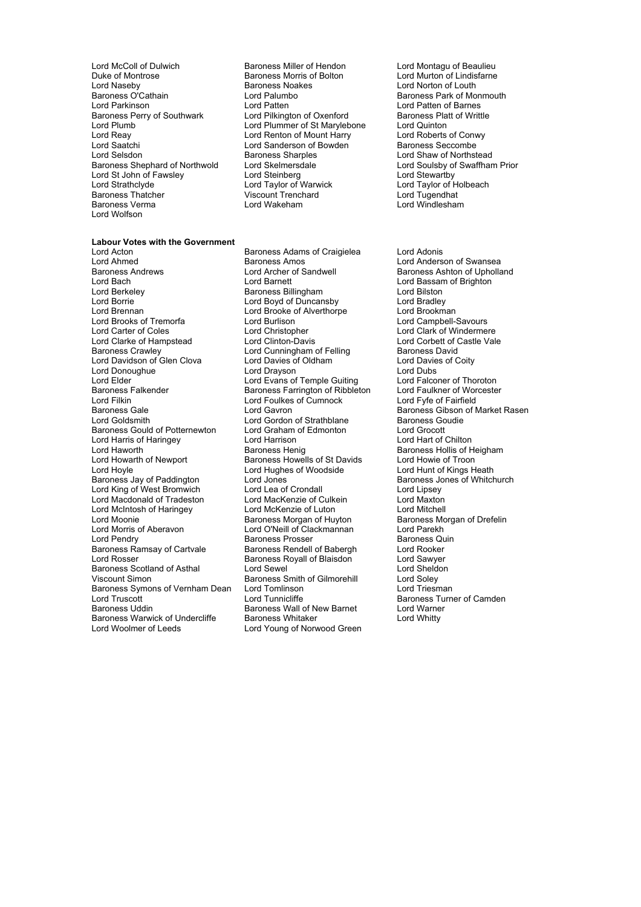- Lord McColl of Dulwich **Baroness Miller of Hendon** Lord Montagu of Beaulieu<br>
Duke of Montrose **Lord Murton of Lindisfarne**<br>
Lord Murton of Lindisfarne Duke of Montrose Baroness Morris of Bolton Lord Naseby<br>
Lord Naseby Control Baroness Noakes Lord Naseby **Baroness Noakes** Lord Norton of Louth Baroness Noakes Lord Norton of Louth Baroness Park of Mo Baroness O'Cat ain h Lord Palumbo Baroness Park of Monmouth Baroness Perry of Southwark Lord Pilkington of Oxenford Baroness Platt Cord Plumb Lord Plummer of St Marylebone Lord Quinton Lord Plumb Lord Plummer of St Marylebone Lord Quinton<br>
Lord Reay Lord Renton of Mount Harry Lord Roberts of Conwy Lord Reay **Lord Renton of Mount Harry Lord Roberts of Conv**<br>
Lord Saatchi **Lord Sanderson of Bowden** Baroness Seccombe Lord Saatchi Lord Sanderson of Bowden<br>
Lord Selsdon Baroness Sharples Lord Selsdon **Baroness Sharples** Lord Shaw of Northstead Baroness Sharples Lord Shaw of Northstead Baroness Sharples Lord St John of Fawsley **Lord Steinberg**<br>
Lord Strathclyde **Lord Taylor of Warwick** Lord Strathclyde **Lord Lord Taylor of Warwick** Lord Taylor of Holbeach<br>
Raroness Thatcher **interpretental Coronal Coronal Coronal Coronal Lord Tugendhat** Baroness Thatcher **Example 2** Viscount Trenchard<br>
Raroness Verma<br>
Lord Wakeham<br>
Lord Wakeham<br>
Lord Windleshar Lord Wolfson
	- Lord Patten<br>
	Lord Pilkington of Oxenford<br>
	Baroness Platt of Writtle **Example 3 Lord Soulsby of Swaffham Prior**<br>
	Lord Stevartby<br>
	Lord Stewartby

## **Labour Votes with the Government**<br>**Lord Acton**

Lord Ahmed Baroness Amos Lord Anderson of Swansea Baroness Andrews **Example 2** Lord Archer of Sandwell **Baroness Ashton of Upholland**<br>
Lord Baroness Ashton of Brighton **Corporation**<br>
Lord Baroness Ashton of Brighton Lord Bach **Lord Barnett** Lord Barnett Lord Bassam of Brighton<br>
Lord Berkeley **Barness Billingham** Lord Bilston Lord Borrie **Lord Boyd of Duncansby** Lord Bradley<br>
Lord Brennan **Lord Brooke** of Alverthorpe Lord Brookman Lord Brooks of Tremorfa<br>
Lord Carter of Coles

Lord Christopher Lord Clarke of Hampstead Lord Clinton-Davis Lord Corbett of Castle Vale<br>
Lord Cunningham of Felling Baroness David Lord Davidson of Glen Clova Lord Donoughue Lord Drayson Lord Dubs Lord Elder Lord Evans of Temple Guiting Lord Falconer of Thoroton<br>
Baroness Falkender Baroness Farrington of Ribbleton Lord Faulkner of Worcester Baroness Falkender Baroness Farrington of Ribbleton Lord Faulkner of Worch Lord Faulkner of Worch Lord Fulkner<br>Lord Filkin Lord Cord Foulkes of Cumnock Lord For Lord For Fairfield Lord Filkin Lord Foulkes of Cumnock Lord Fyfe of Fairfield Baroness Gale **Communist Constructs Care Constructs Constructs** Baroness Gibson of Market Rasen<br>Lord Goldsmith Lord Gordon of Strathblane Baroness Goudie Baroness Gould of Potternewton Lord Graham of Edmonton Lord Grocott Lord Harris of Haringey Lord Haworth **Baroness Henig** Baroness Henig Baroness Hollis of Heigham<br>
Baroness Howells of St Davids **Baroness Howells of St Davids** Lord Howie of Troon Lord Howarth of Newport Baroness Howells of St Davids<br>
Lord Hoyle Cord Hughes of Woodside Lord Hoyle **Lord Hughes of Woodside** Lord Hunt of Kings Heath<br>Baroness Jay of Paddington Lord Jones Lord Hunter Baroness Jones of Whitch Lord King of West Bromwich Lord Lea of Crondall and Lord Lipsey<br>
Lord Macdonald of Tradeston Lord MacKenzie of Culkein Lord Maxton Lord Macdonald of Tradeston Lord MacKenzie of Culkein Lord Maxton Lord McIntosh of Haringey Lord McKenzie of Luton Lord Moonie **Baroness Morgan of Huyton** Baroness Morgan of Drefelin<br>
Lord Morris of Aberavon **Baroness Morgan Clackmannan** Lord Parekh Lord Morris of Aberavon Lord O'Neill of Clackmannan Lord Parekh Lord Pendry **Baroness Prosser** Baroness Quiness Quiness Quiness Quiness Quiness Quiness Quiness Quiness Quiness Qu<br>Baroness Ramsay of Cartvale Baroness Rendell of Babergh **Baroness Algebra** Baroness Ramsay of Cartvale Baroness Rendell of Babergh Lord Rooker<br>
Lord Rosser Cord Sawyer Baroness Royall of Blaisdon Lord Sawyer Baroness Scotland of Asthal Lord Sewel Lord Silmorehill Lord Sheldon<br>Viscount Simon Colley Baroness Smith of Gilmorehill Lord Soley Viscount Simon **Baroness Smith of Gilmorehill** Lord Soley<br>Baroness Symons of Vernham Dean Lord Tomlinson Lord Triesman Baroness Symons of Vernham Dean Lord Tomlinson<br>Lord Truscott Lord Tunnicliffe Lord Truscott **Lord Tunnicliffe** Lord Tunnicliffe **Baroness Turner of Camden**<br>Baroness Uddin Baroness Wall of New Barnet Lord Warner Baroness Warwick of Undercliffe<br>Lord Woolmer of Leeds

Baroness Adams of Craigielea Lord Adonis Baroness Billingham Lord Brooke of Alverthorpe **Franch Lord Brookman**<br>Lord Burlison **f Lord Campbell-Savours** Lord Cunningham of Felling Baroness David<br>
Lord Davies of Oldham Baroness Davies of Coity Lord Gordon of Strathblane Baroness Goudies<br>
Lord Graham of Edmonton Lord Grocott Lord Jones<br>
Lord Lea of Crondall<br>
Lord Lipsey<br>
Lord Lipsey Baroness Royall of Blaisdon Baroness Wall of New Barnet Lord Warne<br>Baroness Whitaker Lord Whitty Lord Young of Norwood Green

Lord Windlesham

Lord Clark of Windermere